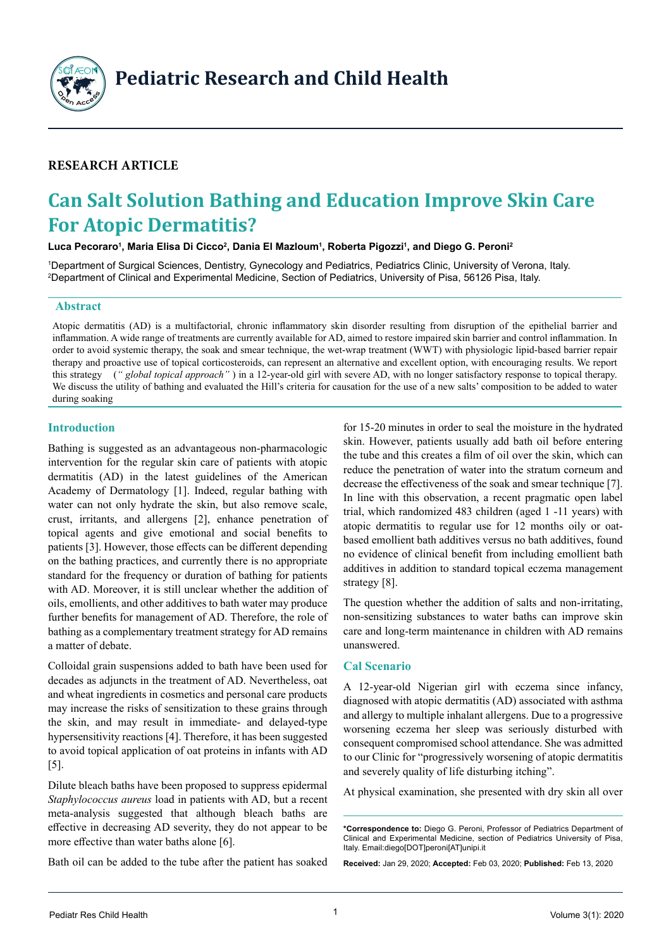

**Pediatric Research and Child Health**

# **Research Article**

# **Can Salt Solution Bathing and Education Improve Skin Care For Atopic Dermatitis?**

#### Luca Pecoraro<sup>1</sup>, Maria Elisa Di Cicco<sup>2</sup>, Dania El Mazloum<sup>1</sup>, Roberta Pigozzi<sup>1</sup>, and Diego G. Peroni<sup>2</sup>

1 Department of Surgical Sciences, Dentistry, Gynecology and Pediatrics, Pediatrics Clinic, University of Verona, Italy. 2 Department of Clinical and Experimental Medicine, Section of Pediatrics, University of Pisa, 56126 Pisa, Italy.

#### **Abstract**

Atopic dermatitis (AD) is a multifactorial, chronic inflammatory skin disorder resulting from disruption of the epithelial barrier and inflammation. A wide range of treatments are currently available for AD, aimed to restore impaired skin barrier and control inflammation. In order to avoid systemic therapy, the soak and smear technique, the wet-wrap treatment (WWT) with physiologic lipid-based barrier repair therapy and proactive use of topical corticosteroids, can represent an alternative and excellent option, with encouraging results. We report this strategy (*" global topical approach"* ) in a 12-year-old girl with severe AD, with no longer satisfactory response to topical therapy. We discuss the utility of bathing and evaluated the Hill's criteria for causation for the use of a new salts' composition to be added to water during soaking

# **Introduction**

Bathing is suggested as an advantageous non-pharmacologic intervention for the regular skin care of patients with atopic dermatitis (AD) in the latest guidelines of the American Academy of Dermatology [1]. Indeed, regular bathing with water can not only hydrate the skin, but also remove scale, crust, irritants, and allergens [2], enhance penetration of topical agents and give emotional and social benefits to patients [3]. However, those effects can be different depending on the bathing practices, and currently there is no appropriate standard for the frequency or duration of bathing for patients with AD. Moreover, it is still unclear whether the addition of oils, emollients, and other additives to bath water may produce further benefits for management of AD. Therefore, the role of bathing as a complementary treatment strategy for AD remains a matter of debate.

Colloidal grain suspensions added to bath have been used for decades as adjuncts in the treatment of AD. Nevertheless, oat and wheat ingredients in cosmetics and personal care products may increase the risks of sensitization to these grains through the skin, and may result in immediate- and delayed-type hypersensitivity reactions [4]. Therefore, it has been suggested to avoid topical application of oat proteins in infants with AD [5].

Dilute bleach baths have been proposed to suppress epidermal *Staphylococcus aureus* load in patients with AD, but a recent meta-analysis suggested that although bleach baths are effective in decreasing AD severity, they do not appear to be more effective than water baths alone [6].

Bath oil can be added to the tube after the patient has soaked

for 15-20 minutes in order to seal the moisture in the hydrated skin. However, patients usually add bath oil before entering the tube and this creates a film of oil over the skin, which can reduce the penetration of water into the stratum corneum and decrease the effectiveness of the soak and smear technique [7]. In line with this observation, a recent pragmatic open label trial, which randomized 483 children (aged 1 -11 years) with atopic dermatitis to regular use for 12 months oily or oatbased emollient bath additives versus no bath additives, found no evidence of clinical benefit from including emollient bath additives in addition to standard topical eczema management strategy [8].

The question whether the addition of salts and non-irritating, non-sensitizing substances to water baths can improve skin care and long-term maintenance in children with AD remains unanswered.

## **Cal Scenario**

A 12-year-old Nigerian girl with eczema since infancy, diagnosed with atopic dermatitis (AD) associated with asthma and allergy to multiple inhalant allergens. Due to a progressive worsening eczema her sleep was seriously disturbed with consequent compromised school attendance. She was admitted to our Clinic for "progressively worsening of atopic dermatitis and severely quality of life disturbing itching".

At physical examination, she presented with dry skin all over

**Received:** Jan 29, 2020; **Accepted:** Feb 03, 2020; **Published:** Feb 13, 2020

**<sup>\*</sup>Correspondence to:** Diego G. Peroni, Professor of Pediatrics Department of Clinical and Experimental Medicine, section of Pediatrics University of Pisa, Italy. Email:diego[DOT]peroni[AT]unipi.it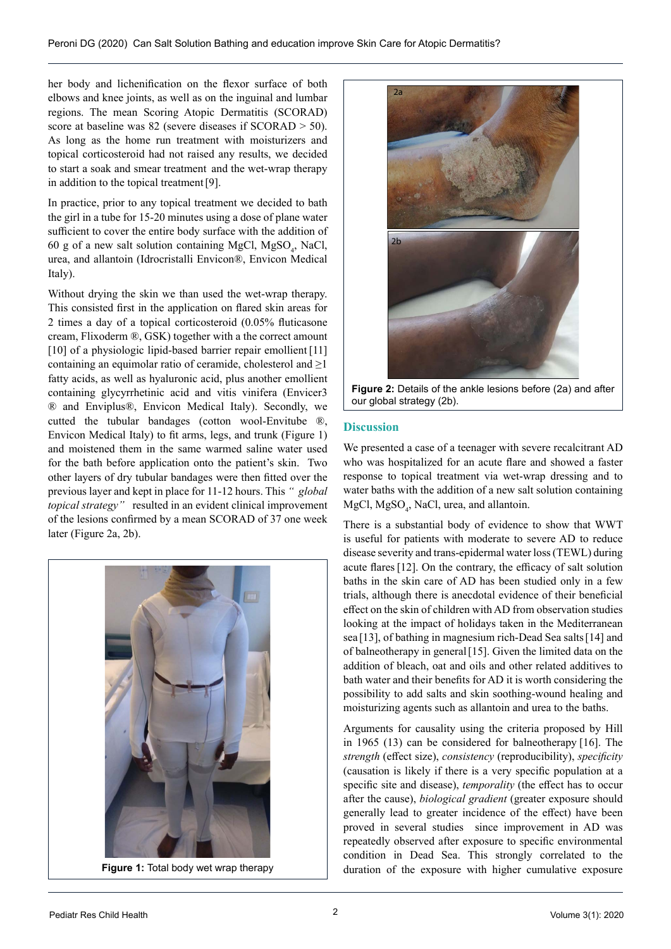her body and lichenification on the flexor surface of both elbows and knee joints, as well as on the inguinal and lumbar regions. The mean Scoring Atopic Dermatitis (SCORAD) score at baseline was 82 (severe diseases if SCORAD > 50). As long as the home run treatment with moisturizers and topical corticosteroid had not raised any results, we decided to start a soak and smear treatment and the wet-wrap therapy in addition to the topical treatment[9].

In practice, prior to any topical treatment we decided to bath the girl in a tube for 15-20 minutes using a dose of plane water sufficient to cover the entire body surface with the addition of 60 g of a new salt solution containing MgCl,  $MgSO_4$ , NaCl, urea, and allantoin (Idrocristalli Envicon®, Envicon Medical Italy).

Without drying the skin we than used the wet-wrap therapy. This consisted first in the application on flared skin areas for 2 times a day of a topical corticosteroid (0.05% fluticasone cream, Flixoderm ®, GSK) together with a the correct amount [10] of a physiologic lipid-based barrier repair emollient [11] containing an equimolar ratio of ceramide, cholesterol and  $\geq 1$ fatty acids, as well as hyaluronic acid, plus another emollient containing glycyrrhetinic acid and vitis vinifera (Envicer3 ® and Enviplus®, Envicon Medical Italy). Secondly, we cutted the tubular bandages (cotton wool-Envitube ®, Envicon Medical Italy) to fit arms, legs, and trunk (Figure 1) and moistened them in the same warmed saline water used for the bath before application onto the patient's skin. Two other layers of dry tubular bandages were then fitted over the previous layer and kept in place for 11-12 hours. This *" global topical strategy"* resulted in an evident clinical improvement of the lesions confirmed by a mean SCORAD of 37 one week later (Figure 2a, 2b).





**Figure 2:** Details of the ankle lesions before (2a) and after our global strategy (2b).

#### **Discussion**

We presented a case of a teenager with severe recalcitrant AD who was hospitalized for an acute flare and showed a faster response to topical treatment via wet-wrap dressing and to water baths with the addition of a new salt solution containing  $MgCl, MgSO<sub>4</sub>, NaCl, urea, and allantoin.$ 

There is a substantial body of evidence to show that WWT is useful for patients with moderate to severe AD to reduce disease severity and trans-epidermal water loss (TEWL) during acute flares[12]. On the contrary, the efficacy of salt solution baths in the skin care of AD has been studied only in a few trials, although there is anecdotal evidence of their beneficial effect on the skin of children with AD from observation studies looking at the impact of holidays taken in the Mediterranean sea [13], of bathing in magnesium rich-Dead Sea salts[14] and of balneotherapy in general[15]. Given the limited data on the addition of bleach, oat and oils and other related additives to bath water and their benefits for AD it is worth considering the possibility to add salts and skin soothing-wound healing and moisturizing agents such as allantoin and urea to the baths.

Arguments for causality using the criteria proposed by Hill in 1965 (13) can be considered for balneotherapy [16]. The *strength* ([effect size](https://en.wikipedia.org/wiki/Effect_size)), *consistency* ([reproducibility](https://en.wikipedia.org/wiki/Reproducibility)), *specificity* (causation is likely if there is a very specific population at a specific site and disease), *temporality* (the effect has to occur after the cause), *biological gradient* (greater exposure should generally lead to greater incidence of the effect) have been proved in several studies since improvement in AD was repeatedly observed after exposure to specific environmental condition in Dead Sea. This strongly correlated to the **Figure 1:** Total body wet wrap therapy duration of the exposure with higher cumulative exposure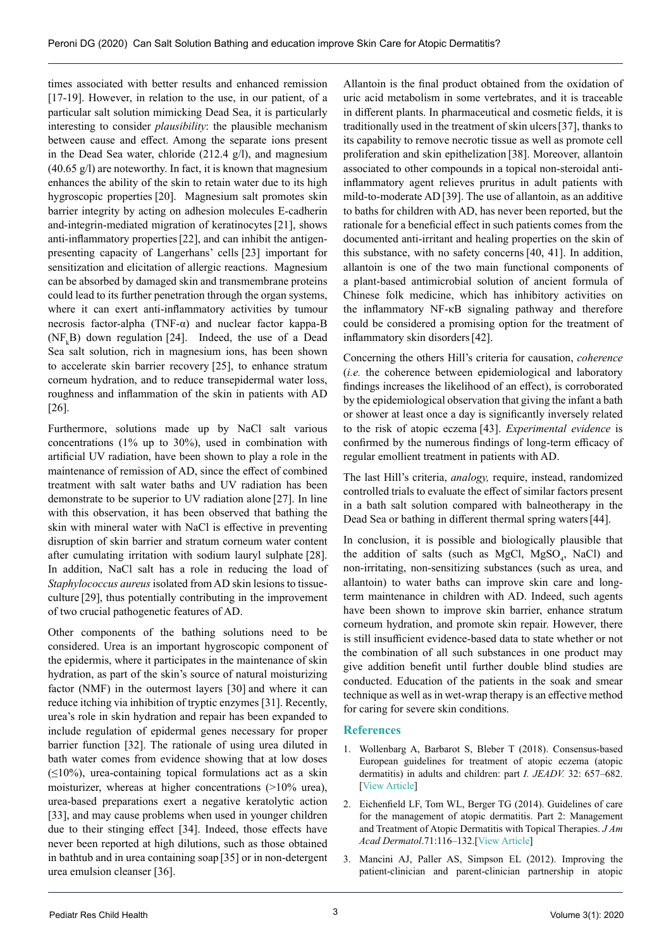times associated with better results and enhanced remission [17-19]. However, in relation to the use, in our patient, of a particular salt solution mimicking Dead Sea, it is particularly interesting to consider *[plausibility](https://en.wikipedia.org/wiki/Biological_plausibility)*: the plausible mechanism between cause and effect. Among the separate ions present in the Dead Sea water, [chloride](https://vpn.univr.it/topics/medicine-and-dentistry/,DanaInfo=www.sciencedirect.com,SSL+chloride) (212.4 g/l), and magnesium (40.65 g/l) are noteworthy. In fact, it is known that magnesium enhances the ability of the skin to retain water due to its high hygroscopic properties [20]. Magnesium salt promotes skin barrier integrity by acting on adhesion molecules E‐cadherin and-integrin-mediated migration of keratinocytes[21], shows anti-inflammatory properties[22], and can inhibit the antigenpresenting capacity of Langerhans' cells [23] important for sensitization and elicitation of allergic reactions. Magnesium can be absorbed by damaged skin and transmembrane proteins could lead to its further penetration through the organ systems, where it can exert anti-inflammatory activities by tumour necrosis factor-alpha (TNF-α) and nuclear factor kappa-B  $(NF<sub>k</sub>B)$  down regulation [24]. Indeed, the use of a Dead Sea salt solution, rich in magnesium ions, has been shown to accelerate skin barrier recovery [25], to enhance stratum corneum hydration, and to reduce transepidermal water loss, roughness and inflammation of the skin in patients with AD [26].

Furthermore, solutions made up by NaCl salt various concentrations (1% up to 30%), used in combination with artificial UV radiation, have been shown to play a role in the maintenance of remission of AD, since the effect of combined treatment with salt water baths and UV radiation has been demonstrate to be superior to UV radiation alone [27]. In line with this observation, it has been observed that bathing the skin with mineral water with NaCl is effective in preventing disruption of skin barrier and stratum corneum water content after cumulating irritation with sodium lauryl sulphate [28]. In addition, NaCl salt has a role in reducing the load of *Staphylococcus aureus* isolated from AD skin lesions to tissueculture [29], thus potentially contributing in the improvement of two crucial pathogenetic features of AD.

Other components of the bathing solutions need to be considered. Urea is an important hygroscopic component of the epidermis, where it participates in the maintenance of skin hydration, as part of the skin's source of natural moisturizing factor (NMF) in the outermost layers [30] and where it can reduce itching via inhibition of tryptic enzymes [31]. Recently, urea's role in skin hydration and repair has been expanded to include regulation of epidermal genes necessary for proper barrier function [32]. The rationale of using urea diluted in bath water comes from evidence showing that at low doses  $(\leq 10\%)$ , urea-containing topical formulations act as a skin moisturizer, whereas at higher concentrations (>10% urea), urea-based preparations exert a negative keratolytic action [33], and may cause problems when used in younger children due to their stinging effect [34]. Indeed, those effects have never been reported at high dilutions, such as those obtained in bathtub and in urea containing soap [35] or in non-detergent urea emulsion cleanser [36].

Allantoin is the final product obtained from the oxidation of uric acid metabolism in some vertebrates, and it is traceable in different plants. In pharmaceutical and cosmetic fields, it is traditionally used in the treatment of skin ulcers[37], thanks to its capability to remove necrotic tissue as well as promote [cell](https://vpn.univr.it/topics/pharmacology-toxicology-and-pharmaceutical-science/,DanaInfo=www.sciencedirect.com,SSL+cell-proliferation)  [proliferation](https://vpn.univr.it/topics/pharmacology-toxicology-and-pharmaceutical-science/,DanaInfo=www.sciencedirect.com,SSL+cell-proliferation) and skin epithelization [38]. Moreover, allantoin associated to other compounds in a topical non-steroidal antiinflammatory agent relieves pruritus in adult patients with mild-to-moderate AD[39]. The use of allantoin, as an additive to baths for children with AD, has never been reported, but the rationale for a beneficial effect in such patients comes from the documented anti-irritant and healing properties on the skin of this substance, with no safety concerns [40, 41]. In addition, allantoin is one of the two main functional components of a plant-based antimicrobial solution of ancient formula of Chinese folk medicine, which has inhibitory activities on the inflammatory NF-κB signaling pathway and therefore could be considered a promising option for the treatment of inflammatory skin disorders[42].

Concerning the others Hill's criteria for causation, *coherence* (*i.e.* the coherence between epidemiological and laboratory findings increases the likelihood of an effect), is corroborated by the epidemiological observation that giving the infant a bath or shower at least once a day is significantly inversely related to the risk of atopic eczema [43]. *Experimental evidence* is confirmed by the numerous findings of long-term efficacy of regular emollient treatment in patients with AD.

The last Hill's criteria, *analogy,* require, instead, randomized controlled trials to evaluate the effect of similar factors present in a bath salt solution compared with balneotherapy in the Dead Sea or bathing in different thermal spring waters[44].

In conclusion, it is possible and biologically plausible that the addition of salts (such as MgCl,  $MgSO_4$ , NaCl) and non-irritating, non-sensitizing substances (such as urea, and allantoin) to water baths can improve skin care and longterm maintenance in children with AD. Indeed, such agents have been shown to improve skin barrier, enhance stratum corneum hydration, and promote skin repair. However, there is still insufficient evidence-based data to state whether or not the combination of all such substances in one product may give addition benefit until further double blind studies are conducted. Education of the patients in the soak and smear technique as well as in wet-wrap therapy is an effective method for caring for severe skin conditions.

## **References**

- 1. Wollenbarg A, Barbarot S, Bleber T (2018). Consensus-based European guidelines for treatment of atopic eczema (atopic dermatitis) in adults and children: part *I. JEADV.* 32: 657–682. [[View Article](https://onlinelibrary.wiley.com/doi/full/10.1111/jdv.14891)]
- 2. Eichenfield LF, Tom WL, Berger TG (2014). Guidelines of care for the management of atopic dermatitis. Part 2: Management and Treatment of Atopic Dermatitis with Topical Therapies. *J Am Acad Dermatol*.71:116–132.[[View Article](https://www.ncbi.nlm.nih.gov/pmc/articles/PMC4326095/)]
- 3. Mancini AJ, Paller AS, Simpson EL (2012). Improving the patient-clinician and parent-clinician partnership in atopic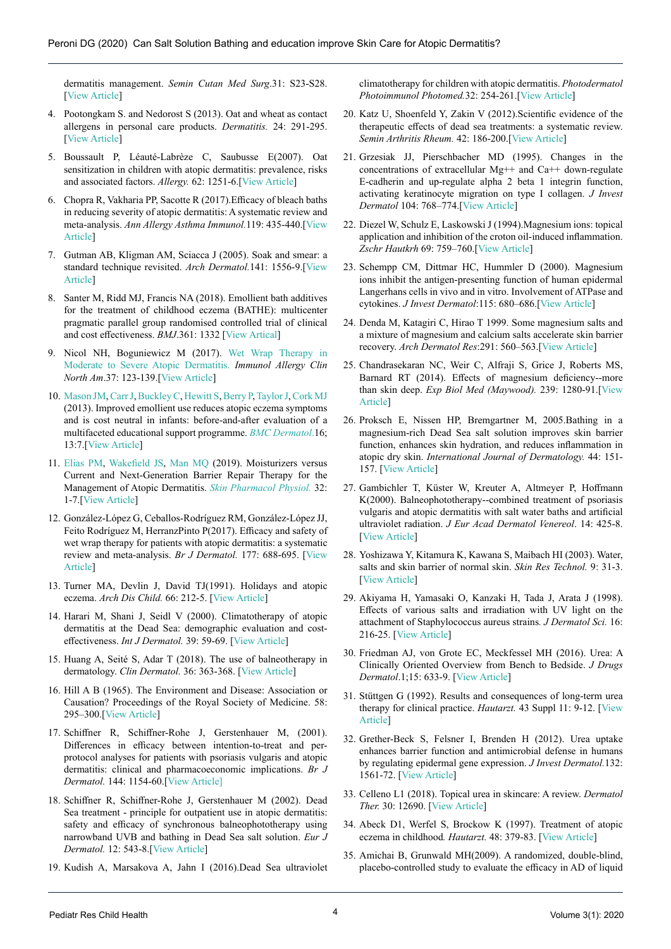dermatitis management. *Semin Cutan Med Surg*.31: S23-S28. [[View Article](https://www.ncbi.nlm.nih.gov/pubmed/23021782)]

- 4. Pootongkam S. and Nedorost S (2013). Oat and wheat as contact allergens in personal care products. *Dermatitis.* 24: 291-295. [[View Article](https://journals.lww.com/dermatitis/Abstract/2013/11000/Oat_and_Wheat_as_Contact_Allergens_in_Personal.4.aspx)]
- 5. Boussault P, Léauté-Labrèze C, Saubusse E(2007). Oat sensitization in children with atopic dermatitis: prevalence, risks and associated factors. *Allergy.* 62: 1251-6.[[View Article](https://www.ncbi.nlm.nih.gov/pubmed/17919139)]
- 6. Chopra R, Vakharia PP, Sacotte R (2017).Efficacy of bleach baths in reducing severity of atopic dermatitis: A systematic review and meta-analysis. *Ann Allergy Asthma Immunol.*119: 435-440.[[View](https://www.ncbi.nlm.nih.gov/pubmed/29150071)  [Article\]](https://www.ncbi.nlm.nih.gov/pubmed/29150071)
- 7. Gutman AB, Kligman AM, Sciacca J (2005). Soak and smear: a standard technique revisited. *Arch Dermatol.*141: 1556-9.[[View](https://www.ncbi.nlm.nih.gov/pubmed/16365257)  [Article\]](https://www.ncbi.nlm.nih.gov/pubmed/16365257)
- 8. Santer M, Ridd MJ, Francis NA (2018). Emollient bath additives for the treatment of childhood eczema (BATHE): multicenter pragmatic parallel group randomised controlled trial of clinical and cost effectiveness. *BMJ*.361: 1332 [[View Artical](https://www.bmj.com/content/361/bmj.k1332)]
- 9. Nicol NH, Boguniewicz M (2017). [Wet Wrap Therapy in](https://www.ncbi.nlm.nih.gov/pubmed/27886902)  [Moderate to Severe Atopic Dermatitis.](https://www.ncbi.nlm.nih.gov/pubmed/27886902) *Immunol Allergy Clin North Am*.37: 123-139.[[View Article](https://www.ncbi.nlm.nih.gov/pubmed/27886902)]
- 10. [Mason JM](https://www.ncbi.nlm.nih.gov/pubmed/?term=Mason JM%5BAuthor%5D&cauthor=true&cauthor_uid=23679991), [Carr J,](https://www.ncbi.nlm.nih.gov/pubmed/?term=Carr J%5BAuthor%5D&cauthor=true&cauthor_uid=23679991) [Buckley C,](https://www.ncbi.nlm.nih.gov/pubmed/?term=Buckley C%5BAuthor%5D&cauthor=true&cauthor_uid=23679991) [Hewitt S](https://www.ncbi.nlm.nih.gov/pubmed/?term=Hewitt S%5BAuthor%5D&cauthor=true&cauthor_uid=23679991), [Berry P](https://www.ncbi.nlm.nih.gov/pubmed/?term=Berry P%5BAuthor%5D&cauthor=true&cauthor_uid=23679991), [Taylor J](https://www.ncbi.nlm.nih.gov/pubmed/?term=Taylor J%5BAuthor%5D&cauthor=true&cauthor_uid=23679991), [Cork MJ](https://www.ncbi.nlm.nih.gov/pubmed/?term=Cork MJ%5BAuthor%5D&cauthor=true&cauthor_uid=23679991) (2013). Improved emollient use reduces atopic eczema symptoms and is cost neutral in infants: before-and-after evaluation of a multifaceted educational support programme. *[BMC Dermatol](https://www.ncbi.nlm.nih.gov/pubmed/?term=Mason+JM%2C+BMC+Dermatol.+2013+May+16%3B13%3A7)*.16; 13:7.[[View Article](https://www.ncbi.nlm.nih.gov/pubmed/23679991)]
- 11. [Elias PM](https://www.ncbi.nlm.nih.gov/pubmed/?term=Elias PM%5BAuthor%5D&cauthor=true&cauthor_uid=30336483), [Wakefield JS](https://www.ncbi.nlm.nih.gov/pubmed/?term=Wakefield JS%5BAuthor%5D&cauthor=true&cauthor_uid=30336483), [Man MQ](https://www.ncbi.nlm.nih.gov/pubmed/?term=Man MQ%5BAuthor%5D&cauthor=true&cauthor_uid=30336483) (2019). Moisturizers versus Current and Next-Generation Barrier Repair Therapy for the Management of Atopic Dermatitis. *[Skin Pharmacol Physiol.](https://www.ncbi.nlm.nih.gov/pubmed/30336483)* 32: 1-7.[[View Article](https://www.ncbi.nlm.nih.gov/pubmed/30336483)]
- 12. González-López G, Ceballos-Rodríguez RM, González-López JJ, Feito Rodríguez M, HerranzPinto P(2017). Efficacy and safety of wet wrap therapy for patients with atopic dermatitis: a systematic review and meta-analysis. *Br J Dermatol.* 177: 688-695. [[View](https://www.ncbi.nlm.nih.gov/pubmed/27861727)  [Article\]](https://www.ncbi.nlm.nih.gov/pubmed/27861727)
- 13. Turner MA, Devlin J, David TJ(1991). Holidays and atopic eczema. *Arch Dis Child.* 66: 212-5. [[View Article](https://www.ncbi.nlm.nih.gov/pubmed/2001105)]
- 14. Harari M, Shani J, Seidl V (2000). Climatotherapy of atopic dermatitis at the Dead Sea: demographic evaluation and costeffectiveness. *Int J Dermatol.* 39: 59-69. [[View Article](https://www.ncbi.nlm.nih.gov/pubmed/10651969)]
- 15. Huang A, Seité S, Adar T (2018). The use of balneotherapy in dermatology. *Clin Dermatol.* 36: 363-368. [[View Article](https://www.ncbi.nlm.nih.gov/pubmed/29908578)]
- 16. Hill A B (1965). The Environment and Disease: Association or Causation? Proceedings of the Royal Society of Medicine. 58: 295–300.[[View Article](https://www.ncbi.nlm.nih.gov/pmc/articles/PMC1898525/)]
- 17. Schiffner R, Schiffner-Rohe J, Gerstenhauer M, (2001). Differences in efficacy between intention-to-treat and perprotocol analyses for patients with psoriasis vulgaris and atopic dermatitis: clinical and pharmacoeconomic implications. *Br J Dermatol.* 144: 1154-60.[[View Article\]](https://www.ncbi.nlm.nih.gov/pubmed/11422035)
- 18. Schiffner R, Schiffner-Rohe J, Gerstenhauer M (2002). Dead Sea treatment - principle for outpatient use in atopic dermatitis: safety and efficacy of synchronous balneophototherapy using narrowband UVB and bathing in Dead Sea salt solution. *Eur J Dermatol.* 12: 543-8.[[View Article](https://www.ncbi.nlm.nih.gov/pubmed/12459524)]
- 19. Kudish A, Marsakova A, Jahn I (2016).Dead Sea ultraviolet

climatotherapy for children with atopic dermatitis. *Photodermatol Photoimmunol Photomed.*32: 254-261.[[View Article](https://www.ncbi.nlm.nih.gov/pubmed/27379840)]

- 20. Katz U, Shoenfeld Y, Zakin V (2012).Scientific evidence of the therapeutic effects of dead sea treatments: a systematic review. *Semin Arthritis Rheum.* 42: 186-200.[[View Article](https://www.ncbi.nlm.nih.gov/pubmed/22503590)]
- 21. Grzesiak JJ, Pierschbacher MD (1995). Changes in the concentrations of extracellular Mg++ and Ca++ down‐regulate E-cadherin and up-regulate alpha 2 beta 1 integrin function, activating keratinocyte migration on type I collagen. *J Invest Dermatol* 104: 768–774.[[View Article](https://www.ncbi.nlm.nih.gov/pubmed/7537775)]
- 22. Diezel W, Schulz E, Laskowski J (1994).Magnesium ions: topical application and inhibition of the croton oil‐induced inflammation. *Zschr Hautkrh* 69: 759–760.[[View Article](https://www.scirp.org/(S(i43dyn45teexjx455qlt3d2q))/reference/ReferencesPapers.aspx?ReferenceID=210673)]
- 23. Schempp CM, Dittmar HC, Hummler D (2000). Magnesium ions inhibit the antigen‐presenting function of human epidermal Langerhans cells in vivo and in vitro. Involvement of ATPase and cytokines. *J Invest Dermatol*:115: 680–686.[[View Article](https://www.ncbi.nlm.nih.gov/pubmed/10998143)]
- 24. Denda M, Katagiri C, Hirao T 1999. Some magnesium salts and a mixture of magnesium and calcium salts accelerate skin barrier recovery. *Arch Dermatol Res*:291: 560–563.[[View Article](https://link.springer.com/article/10.1007/s004030050454)]
- 25. Chandrasekaran NC, Weir C, Alfraji S, Grice J, Roberts MS, Barnard RT (2014). Effects of magnesium deficiency--more than skin deep. *Exp Biol Med (Maywood).* 239: 1280-91.[[View](https://www.ncbi.nlm.nih.gov/pubmed/24928863)  [Article\]](https://www.ncbi.nlm.nih.gov/pubmed/24928863)
- 26. Proksch E, Nissen HP, Bremgartner M, 2005.Bathing in a magnesium-rich Dead Sea salt solution improves skin barrier function, enhances skin hydration, and reduces inflammation in atopic dry skin. *International Journal of Dermatology.* 44: 151- 157. [[View Article](https://www.ncbi.nlm.nih.gov/pubmed/15689218)]
- 27. Gambichler T, Küster W, Kreuter A, Altmeyer P, Hoffmann K(2000). Balneophototherapy--combined treatment of psoriasis vulgaris and atopic dermatitis with salt water baths and artificial ultraviolet radiation. *J Eur Acad Dermatol Venereol*. 14: 425-8. [[View Article](https://www.ncbi.nlm.nih.gov/pubmed/11305394)]
- 28. Yoshizawa Y, Kitamura K, Kawana S, Maibach HI (2003). Water, salts and skin barrier of normal skin. *Skin Res Technol.* 9: 31-3. [[View Article](https://www.ncbi.nlm.nih.gov/pubmed/12535281)]
- 29. Akiyama H, Yamasaki O, Kanzaki H, Tada J, Arata J (1998). Effects of various salts and irradiation with UV light on the attachment of Staphylococcus aureus strains*. J Dermatol Sci.* 16: 216-25. [[View Article](https://www.ncbi.nlm.nih.gov/pubmed/9651819)]
- 30. Friedman AJ, von Grote EC, Meckfessel MH (2016). Urea: A Clinically Oriented Overview from Bench to Bedside. *J Drugs Dermatol*.1;15: 633-9. [[View Article](https://www.ncbi.nlm.nih.gov/pubmed/27168272)]
- 31. Stüttgen G (1992). Results and consequences of long-term urea therapy for clinical practice. *Hautarzt.* 43 Suppl 11: 9-12. [[View](https://www.ncbi.nlm.nih.gov/pubmed/1555945)  [Article\]](https://www.ncbi.nlm.nih.gov/pubmed/1555945)
- 32. Grether-Beck S, Felsner I, Brenden H (2012). Urea uptake enhances barrier function and antimicrobial defense in humans by regulating epidermal gene expression. *J Invest Dermatol.*132: 1561-72. [[View Article](https://www.ncbi.nlm.nih.gov/pubmed/22418868)]
- 33. Celleno L1 (2018). Topical urea in skincare: A review. *Dermatol Ther.* 30: 12690. [[View Article](https://www.ncbi.nlm.nih.gov/pubmed/30378232)]
- 34. Abeck D1, Werfel S, Brockow K (1997). Treatment of atopic eczema in childhood*. Hautarzt.* 48: 379-83. [[View Article](https://www.ncbi.nlm.nih.gov/pubmed/9333612)]
- 35. Amichai B, Grunwald MH(2009). A randomized, double-blind, placebo-controlled study to evaluate the efficacy in AD of liquid